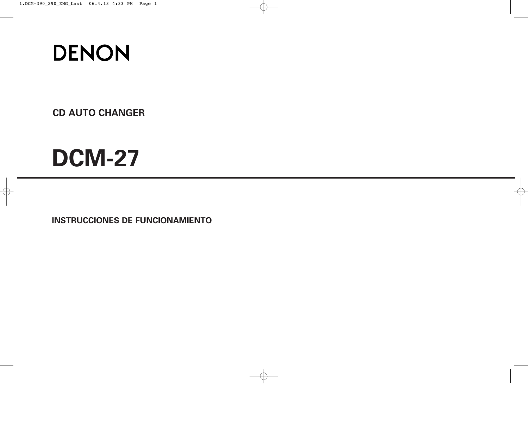

**CD AUTO CHANGER**

# **DCM-27**

**INSTRUCCIONES DE FUNCIONAMIENTO**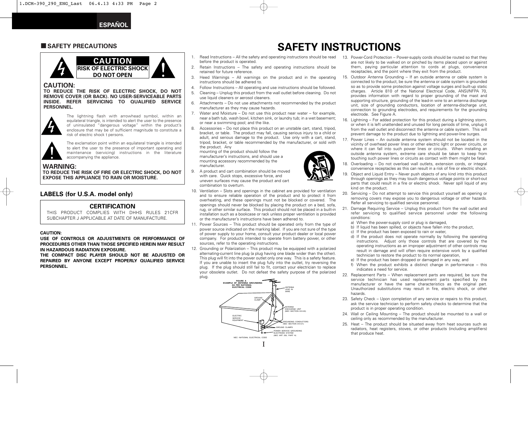### **E SAFETY PRECAUTIONS**



#### **CAUTION:**

**TO REDUCE THE RISK OF ELECTRIC SHOCK, DO NOT REMOVE COVER (OR BACK). NO USER-SERVICEABLE PARTS INSIDE. REFER SERVICING TO QUALIFIED SERVICE PERSONNEL.**



The lightning flash with arrowhead symbol, within an equilateral triangle, is intended to alert the user to the presence of uninsulated "dangerous voltage" within the product's enclosure that may be of sufficient magnitude to constitute a risk of electric shock t persons.



The exclamation point within an equilateral triangle is intended to alert the user to the presence of important operating and maintenance (servicing) instructions in the literature accompanying the appliance.

#### **WARNING:**

**TO REDUCE THE RISK OF FIRE OR ELECTRIC SHOCK, DO NOT EXPOSE THIS APPLIANCE TO RAIN OR MOISTURE.**

#### **LABELS (for U.S.A. model only)**

#### **CERTIFICATION**

THIS PRODUCT COMPLIES WITH DHHS RULES 21CFR SUBCHAPTER J APPLICABLE AT DATE OF MANUFACTURE.

#### **CAUTION:**

**USE OF CONTROLS OR ADJUSTMENTS OR PERFORMANCE OF PROCEDURES OTHER THAN THOSE SPECIFIED HEREIN MAY RESULT IN HAZARDOUS RADIATION EXPOSURE.**

**THE COMPACT DISC PLAYER SHOULD NOT BE ADJUSTED OR REPAIRED BY ANYONE EXCEPT PROPERLY QUALIFIED SERVICE PERSONNEL.**

- 1. Read Instructions All the safety and operating instructions should be read 13. Power-Cord Protection Power-supply cords should be routed so that they before the product is operated.
- 2. Retain Instructions The safety and operating instructions should be retained for future reference.
- 3. Heed Warnings All warnings on the product and in the operating instructions should be adhered to.
- 4. Follow Instructions All operating and use instructions should be followed.
- 5. Cleaning Unplug this product from the wall outlet before cleaning. Do not use liquid cleaners or aerosol cleaners.
- 6. Attachments Do not use attachments not recommended by the product manufacturer as they may cause hazards.
- 7. Water and Moisture Do not use this product near water for example, near a bath tub, wash bowl, kitchen sink, or laundry tub; in a wet basement; or near a swimming pool; and the like.
- 8. Accessories Do not place this product on an unstable cart, stand, tripod, bracket, or table. The product may fall, causing serious injury to a child or adult, and serious damage to the product. Use only with a cart, stand, tripod, bracket, or table recommended by the manufacturer, or sold with the product. Any

mounting of the product should follow the manufacturer's instructions, and should use a mounting accessory recommended by the manufacturer.

- 9. A product and cart combination should be moved with care. Quick stops, excessive force, and uneven surfaces may cause the product and cart combination to overturn.
- 10. Ventilation Slots and openings in the cabinet are provided for ventilation and to ensure reliable operation of the product and to protect it from overheating, and these openings must not be blocked or covered. The openings should never be blocked by placing the product on a bed, sofa, rug, or other similar surface. This product should not be placed in a built-in installation such as a bookcase or rack unless proper ventilation is provided or the manufacturer's instructions have been adhered to.
- 11. Power Sources This product should be operated only from the type of power source indicated on the marking label. If you are not sure of the type of power supply to your home, consult your product dealer or local power company. For products intended to operate from battery power, or other sources, refer to the operating instructions.
- 12. Grounding or Polarization This product may be equipped with a polarized alternating-current line plug (a plug having one blade wider than the other). This plug will fit into the power outlet only one way. This is a safety feature. If you are unable to insert the plug fully into the outlet, try reversing the plug. If the plug should still fail to fit, contact your electrician to replace your obsolete outlet. Do not defeat the safety purpose of the polarized plug.



- are not likely to be walked on or pinched by items placed upon or against them, paying particular attention to cords at plugs, convenience receptacles, and the point where they exit from the product.
- 15. Outdoor Antenna Grounding If an outside antenna or cable system is connected to the product, be sure the antenna or cable system is grounded so as to provide some protection against voltage surges and built-up static charges. Article 810 of the National Electrical Code, ANSI/NFPA 70, provides information with regard to proper grounding of the mast and supporting structure, grounding of the lead-in wire to an antenna discharge unit, size of grounding conductors, location of antenna-discharge unit, connection to grounding electrodes, and requirements for the grounding electrode. See Figure A.
- 16. Lightning For added protection for this product during a lightning storm, or when it is left unattended and unused for long periods of time, unplug it from the wall outlet and disconnect the antenna or cable system. This will prevent damage to the product due to lightning and power-line surges.
- 17. Power Lines An outside antenna system should not be located in the vicinity of overhead power lines or other electric light or power circuits, or where it can fall into such power lines or circuits. When installing an outside antenna system, extreme care should be taken to keep from touching such power lines or circuits as contact with them might be fatal.
- 18. Overloading Do not overload wall outlets, extension cords, or integral convenience receptacles as this can result in a risk of fire or electric shock.
- 19. Object and Liquid Entry Never push objects of any kind into this product through openings as they may touch dangerous voltage points or short-out parts that could result in a fire or electric shock. Never spill liquid of any kind on the product.
- 20. Servicing Do not attempt to service this product yourself as opening or removing covers may expose you to dangerous voltage or other hazards. Refer all servicing to qualified service personnel.
- 21. Damage Requiring Service Unplug this product from the wall outlet and refer servicing to qualified service personnel under the following conditions:
	- a) When the power-supply cord or plug is damaged.
	- b) If liquid has been spilled, or objects have fallen into the product,
	- c) If the product has been exposed to rain or water
	- d) If the product does not operate normally by following the operating instructions. Adjust only those controls that are covered by the operating instructions as an improper adjustment of other controls may result in damage and will often require extensive work by a qualified technician to restore the product to its normal operation,
	- e) If the product has been dropped or damaged in any way, and
	- f) When the product exhibits a distinct change in performance this indicates a need for service.
- 22. Replacement Parts When replacement parts are required, be sure the service technician has used replacement parts specified by the manufacturer or have the same characteristics as the original part. Unauthorized substitutions may result in fire, electric shock, or other hazards.
- 23. Safety Check Upon completion of any service or repairs to this product, ask the service technician to perform safety checks to determine that the product is in proper operating condition.
- 24. Wall or Ceiling Mounting The product should be mounted to a wall or ceiling only as recommended by the manufacturer.
- 25. Heat The product should be situated away from heat sources such as radiators, heat registers, stoves, or other products (including amplifiers) that produce heat.



**SAFETY INSTRUCTIONS**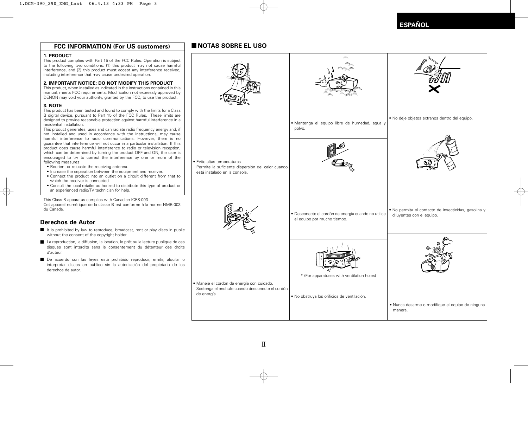### **FCC INFORMATION (For US customers) INOTAS SOBRE EL USO**

#### **1. PRODUCT**

This product complies with Part 15 of the FCC Rules. Operation is subject to the following two conditions: (1) this product may not cause harmful interference, and (2) this product must accept any interference received, including interference that may cause undesired operation.

#### **2. IMPORTANT NOTICE: DO NOT MODIFY THIS PRODUCT**

This product, when installed as indicated in the instructions contained in this manual, meets FCC requirements. Modification not expressly approved by DENON may void your authority, granted by the FCC, to use the product.

#### **3. NOTE**

This product has been tested and found to comply with the limits for a Class B digital device, pursuant to Part 15 of the FCC Rules. These limits are designed to provide reasonable protection against harmful interference in a residential installation.

This product generates, uses and can radiate radio frequency energy and, if not installed and used in accordance with the instructions, may cause harmful interference to radio communications. However, there is no guarantee that interference will not occur in a particular installation. If this product does cause harmful interference to radio or television reception, which can be determined by turning the product OFF and ON, the user is encouraged to try to correct the interference by one or more of the following measures:

- Reorient or relocate the receiving antenna.
- Increase the separation between the equipment and receiver.
- Connect the product into an outlet on a circuit different from that to which the receiver is connected.
- Consult the local retailer authorized to distribute this type of product or an experienced radio/TV technician for help.

This Class B apparatus complies with Canadian ICES-003. Cet appareil numérique de la classe B est conforme à la norme NMB-003 du Canada.

#### **Derechos de Autor**

- $\blacksquare$  It is prohibited by law to reproduce, broadcast, rent or play discs in public without the consent of the copyright holder.
- La reproduction, la diffusion, la location, le prêt ou la lecture publique de ces disques sont interdits sans le consentement du détenteur des droits d'auteur.
- De acuerdo con las leyes está prohibido reproducir, emitir, alquilar o interpretar discos en público sin la autorización del propietario de los derechos de autor.



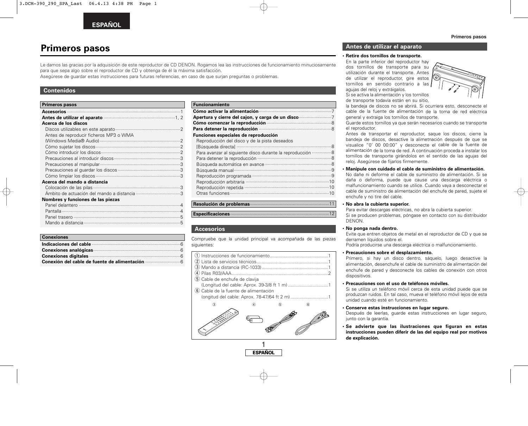## **Primeros pasos**

Le damos las gracias por la adquisición de este reproductor de CD DENON. Rogamos lea las instrucciones de funcionamiento minuciosamente para que sepa algo sobre el reproductor de CD y obtenga de él la máxima satisfacción.

Asegúrese de guardar estas instrucciones para futuras referencias, en caso de que surjan preguntas o problemas.

#### **Contenidos**

| <b>Primeros pasos</b>                  |  |
|----------------------------------------|--|
|                                        |  |
|                                        |  |
| Acerca de los discos                   |  |
|                                        |  |
| Antes de reproducir ficheros MP3 o WMA |  |
|                                        |  |
|                                        |  |
|                                        |  |
|                                        |  |
|                                        |  |
|                                        |  |
|                                        |  |
| Acerca del mando a distancia           |  |
|                                        |  |
|                                        |  |
| Nombres y funciones de las piezas      |  |
|                                        |  |
|                                        |  |
|                                        |  |
|                                        |  |

| <b>Conexiones</b>     |  |
|-----------------------|--|
|                       |  |
| Conexiones analógicas |  |
|                       |  |
|                       |  |

| <b>Funcionamiento</b>                                     |    |
|-----------------------------------------------------------|----|
|                                                           |    |
| Apertura y cierre del cajon, y carga de un disco          |    |
|                                                           |    |
|                                                           |    |
| Funciones especiales de reproducción                      |    |
| Reproducción del disco y de la pista deseados             |    |
|                                                           |    |
| Para avanzar al siguiente disco durante la reproducción 8 |    |
|                                                           |    |
|                                                           |    |
|                                                           |    |
|                                                           |    |
|                                                           |    |
|                                                           |    |
|                                                           |    |
|                                                           |    |
| $\mathbf{r}$ , $\mathbf{r}$ , $\mathbf{r}$ , $\mathbf{r}$ | 11 |

#### **Resolución de problemas**·····························································11

**Especificaciones**············································································12

#### **Accesorios**

Compruebe que la unidad principal va acompañada de las piezas siguientes:

| 5 Cable de enchufe de clavija          |   |   |  |
|----------------------------------------|---|---|--|
|                                        |   |   |  |
| (6) Cable de la fuente de alimentación |   |   |  |
|                                        |   |   |  |
|                                        | 5 | 6 |  |
|                                        |   | 杰 |  |

![](_page_3_Figure_14.jpeg)

**ESPAÑOL**

#### **Antes de utilizar el aparato**

#### **• Retire dos tornillos de transporte.**

En la parte inferior del reproductor hay dos tornillos de transporte para su utilización durante el transporte. Antes de utilizar el reproductor, gire estos tornillos en sentido contrario a las agujas del reloj y extráigalos. Si se activa la alimentación y los tornillos

![](_page_3_Picture_18.jpeg)

de transporte todavía están en su sitio,

la bandeja de discos no se abrirá. Si ocurriera esto, desconecte el cable de la fuente de alimentación de la toma de red eléctrica general y extraiga los tornillos de transporte.

Guarde estos tornillos ya que serán necesarios cuando se transporte el reproductor.

Antes de transportar el reproductor, saque los discos, cierre la bandeja de discos, desactive la alimetnación después de que se visualice "0' 00 00:00" y desconecte el cable de la fuente de alimentación de la toma de red. A continuación proceda a instalar los tornillos de transporte girándolos en el sentido de las agujas del reloj. Asegúrese de fijarlos firmemente.

#### **• Manipule con cuidado el cable de suministro de alimentación.**

No dañe ni deforme el cable de suministro de alimentación. Si se daña o deforma, puede que cause una descarga eléctrica o malfuncionamiento cuando se utilice. Cuando vaya a desconectar el cable de suministro de alimentación del enchufe de pared, sujete el enchufe y no tire del cable.

#### **• No abra la cubierta superior.**

Para evitar descargas eléctricas, no abra la cubierta superior. Si se producen problemas, póngase en contacto con su distribuidor DENON.

#### **No ponga nada dentro.**

Evite que entren objetos de metal en el reproductor de CD y que se derramen líquidos sobre el.

Podría producirse una descarga eléctrica o malfuncionamiento.

#### **• Precauciones sobre el desplazamiento.**

Primero, si hay un disco dentro, sáquelo, luego desactive la alimentación, desenchufe el cable de suministro de alimentación del enchufe de pared y desconecte los cables de conexión con otros dispositivos.

#### **• Precauciones con el uso de teléfonos móviles.**

Si se utiliza un teléfono móvil cerca de esta unidad puede que se produzcan ruidos. En tal caso, mueva el teléfono móvil lejos de esta unidad cuando esté en funcionamiento.

#### **• Conserve estas instrucciones en lugar seguro.**

Después de leerlas, guarde estas instrucciones en lugar seguro, junto con la garantía.

**• Se advierte que las ilustraciones que figuran en estas instrucciones pueden diferir de las del equipo real por motivos de explicación.**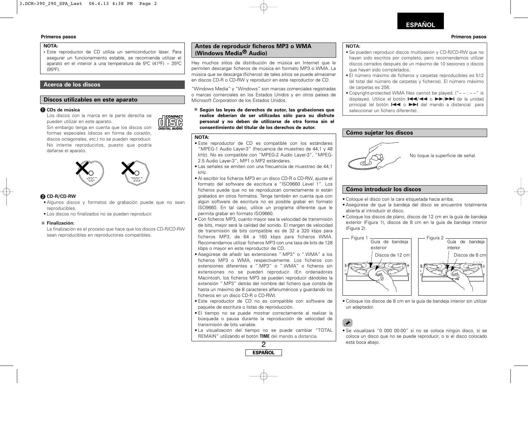### **ESPAÑOL**

#### **Primeros pasos Primeros pasos**

#### **NOTA:**

**•** Este reproductor de CD utiliza un semiconductor láser. Para asegurar un funcionamiento estable, se recomienda utilizar el aparato en el interior a una temperatura de 5°C (41°F) ~ 35°C (95ºF).

#### **Acerca de los discos**

#### **Discos utilizables en este aparato**

#### q **CDs de música**

Los discos con la marca en la parte derecha se pueden utilizar en este aparato.

![](_page_4_Picture_8.jpeg)

Sin embargo tenga en cuenta que los discos con formas especiales (discos en forma de corazón, discos octagonales, etc.) no se pueden reproducir. No intente reproducirlos, puesto que podría dañarse el aparato.

![](_page_4_Picture_10.jpeg)

#### w **CD-R/CD-RW**

- Algunos discos y formatos de grabación puede que no sean reproducibles.
- Los discos no finalizados no se pueden reproducir.

#### **Finalización:**

La finalización es el proceso que hace que los discos CD-R/CD-RW sean reproducibles en reproductores compatibles.

#### **Antes de reproducir ficheros MP3 o WMA (Windows Media ® Audio)**

Hay muchos sitios de distribución de música en Internet que le permiten descargar ficheros de música en formato MP3 o WMA. La música que se descarga (ficheros) de tales sitios se puede almacenar en discos CD-R o CD-RW y reproducir en este reproductor de CD.

"Windows Media" y "Windows" son marcas comerciales registradas o marcas comerciales en los Estados Unidos y en otros países de Microsoft Corporation de los Estados Unidos.

**Según las leyes de derechos de autor, las grabaciones que realice deberían de ser utilizadas sólo para su disfrute personal y no deben de utilizarse de otra forma sin el consentimiento del titular de los derechos de autor.**

#### **NOTA:**

- Este reproductor de CD es compatible con los estándares "MPEG-1 Audio Layer-3" (frecuencia de muestreo de 44,1 y 48 kHz). No es compatible con "MPEG-2 Audio Layer-3", "MPEG-2.5 Audio Layer-3", MP1 o MP2 estándares.
- Las señales se emiten con una frecuencia de muestreo de 44,1 kHz.
- Al escribir los ficheros MP3 en un disco CD-R o CD-RW, ajuste el formato del software de escritura a "ISO9660 Level 1". Los ficheros puede que no se reproduzcan correctamente si están grabados en otros formatos. Tenga también en cuenta que con algún software de escritura no es posible grabar en formato ISO9660. En tal caso, utilice un programa diferente que le permita grabar en formato ISO9660.
- Con ficheros MP3, cuanto mayor sea la velocidad de transmisión de bits, mejor será la calidad del sonido. El margen de velocidad de transmisión de bits compatible es de 32 a 320 kbps para ficheros MP3, de 64 a 160 kbps para ficheros WMA. Recomendamos utilizar ficheros MP3 con una tasa de bits de 128 kbps o mayor en este reproductor de CD.
- Asegúrese de añadir las extensiones ".MP3" o ".WMA" a los ficheros MP3 o WMA, respectivamente. Los ficheros con extensiones diferentes a ".MP3" o ".WMA" o ficheros sin extensiones no se pueden reproducir. (En ordenadores Macintosh, los ficheros MP3 se pueden reproducir dándoles la extensión ".MP3" detrás del nombre del fichero que consta de hasta un máximo de 8 caracteres alfanuméricos y guardando los ficheros en un disco CD-R o CD-RW).
- Este reproductor de CD no es compatible con software de paquete de escritura o listas de reproducción.
- El tiempo no se puede mostrar correctamente al realizar la búsqueda o pausa durante la reproducción de velocidad de transmisión de bits variable.
- La visualización del tiempo no se puede cambiar "TOTAL REMAIN" utilizando el botón **TIME** del mando a distancia.

![](_page_4_Picture_29.jpeg)

#### **NOTA:**

- Se pueden reproducir discos multisesión y CD-R/CD-RW que no hayan sido escritos por completo, pero recomendamos utilizar discos cerrados después de un máximo de 10 sesiones o discos que hayan sido completados.
- El número máximo de ficheros y carpetas reproducibles es 512 (el total del número de carpetas y ficheros). El número máximo de carpetas es 256.
- Copyright-protected WMA files cannot be played. ("– : –" is displayed. Utilice el botón l◀◀/◀◀ o ▶▶/▶▶I de la unidad principal (el botón  $\blacktriangleright\blacktriangleleft$  o  $\blacktriangleright\blacktriangleright\blacktriangleright\blacktriangleright\blacktriangleleft$  del mando a distancia) para seleccionar un fichero diferente).

#### **Cómo sujetar los discos**

![](_page_4_Picture_35.jpeg)

#### **Cómo introducir los discos**

- Coloque el disco con la cara etiquetada hacia arriba.
- Asegúrese de que la bandeja del disco se encuentre totalmente abierta al introducir el disco.
- Coloque los discos de plano, discos de 12 cm en la guía de bandeja exterior (Figura 1), discos de 8 cm en la guía de bandeja interior (Figura 2).

![](_page_4_Figure_40.jpeg)

• Coloque los discos de 8 cm en la guía de bandeja interior sin utilizar un adaptador.

• Se visualizará "0 000 00:00" si no se coloca ningún disco, si se coloca un disco que no se puede reproducir, o si el disco colocado está boca abajo.

![](_page_4_Picture_44.jpeg)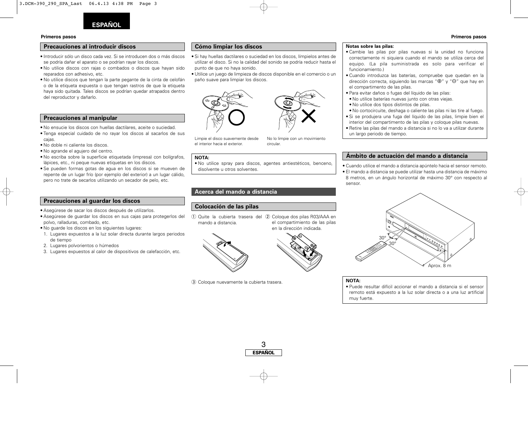![](_page_5_Picture_0.jpeg)

#### **Precauciones al introducir discos**

- Introducir sólo un disco cada vez. Si se introducen dos o más discos se podría dañar el aparato o se podrían rayar los discos.
- No utilice discos con rajas o combados o discos que hayan sido reparados con adhesivo, etc.
- No utilice discos que tengan la parte pegante de la cinta de celofán o de la etiqueta expuesta o que tengan rastros de que la etiqueta haya sido quitada. Tales discos se podrían quedar atrapados dentro del reproductor y dañarlo.

#### **Precauciones al manipular**

- No ensucie los discos con huellas dactilares, aceite o suciedad.
- Tenga especial cuidado de no rayar los discos al sacarlos de sus cajas.
- No doble ni caliente los discos.
- No agrande el agujero del centro.
- No escriba sobre la superficie etiquetada (impresa) con bolígrafos, lápices, etc., ni peque nuevas etiquetas en los discos.
- Se pueden formas gotas de agua en los discos si se mueven de repente de un lugar frío (por ejemplo del exterior) a un lugar cálido, pero no trate de secarlos utilizando un secador de pelo, etc.

#### **Precauciones al guardar los discos**

- Asegúrese de sacar los discos después de utilizarlos.
- Asegúrese de guardar los discos en sus cajas para protegerlos del polvo, ralladuras, combado, etc.
- No guarde los discos en los siguientes lugares:
- 1. Lugares expuestos a la luz solar directa durante largos periodos de tiempo
- 2. Lugares polvorientos o húmedos
- 3. Lugares expuestos al calor de dispositivos de calefacción, etc.

#### **Cómo limpiar los discos**

- Si hay huellas dactilares o suciedad en los discos, límpielos antes de utilizar el disco. Si no la calidad del sonido se podría reducir hasta el punto de que no haya sonido.
- Utilice un juego de limpieza de discos disponible en el comercio o un paño suave para limpiar los discos.

![](_page_5_Picture_23.jpeg)

10 Quite la cubierta trasera del 20 Coloque dos pilas R03/AAA en

Limpie el disco suavemente desde el interior hacia el exterior.

**Acerca del mando a distancia**

No lo limpie con un movimiento

el compartimiento de las pilas en la dirección indicada.

**Ámbito de actuación del mando a distancia**

**Notas sobre las pilas:**

• Cuando utilice el mando a distancia apúntelo hacia el sensor remoto. • El mando a distancia se puede utilizar hasta una distancia de máximo 8 metros, en un ángulo horizontal de máximo 30° con respecto al sensor.

![](_page_5_Picture_30.jpeg)

**NOTA:**

• Puede resultar difícil accionar el mando a distancia si el sensor remoto está expuesto a la luz solar directa o a una luz artificial muy fuerte.

## circular.

- Cambie las pilas por pilas nuevas si la unidad no funciona correctamente ni siquiera cuando el mando se utiliza cerca del equipo. (La pila suministrada es solo para verificar el funcionamiento.)
- Cuando introduzca las baterías, compruebe que quedan en la dirección correcta, siguiendo las marcas " $\oplus$ " y " $\ominus$ " que hav en el compartimento de las pilas.
- Para evitar daños o fugas del líquido de las pilas:
- No utilice baterías nuevas junto con otras viejas.
- No utilice dos tipos distintos de pilas.
- No cortocircuite, deshaga o caliente las pilas ni las tire al fuego.
- Si se produjera una fuga del líquido de las pilas, limpie bien el interior del compartimento de las pilas y coloque pilas nuevas.
- Retire las pilas del mando a distancia si no lo va a utilizar durante un largo periodo de tiempo.

#### **Primeros pasos Primeros pasos**

![](_page_5_Picture_44.jpeg)

![](_page_5_Picture_45.jpeg)

**Colocación de las pilas**

mando a distancia.

**NOTA:**

(3) Coloque nuevamente la cubierta trasera.

3 **ESPAÑOL**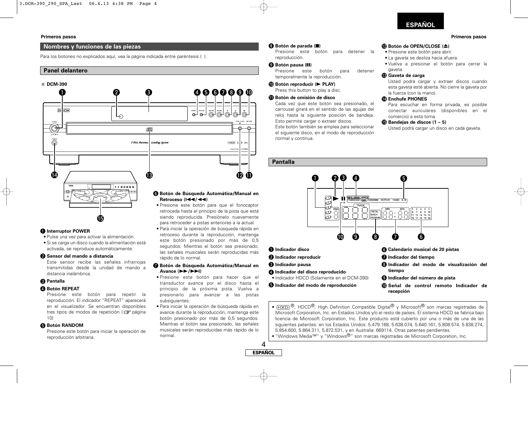### **ESPAÑOL**

#### **Primeros pasos Primeros pasos**

#### **Nombres y funciones de las piezas**

Para los botones no explicados aquí, vea la página indicada entre paréntesis ( ).

#### **Panel delantero**

![](_page_6_Figure_5.jpeg)

#### q **Interruptor POWER**

- Pulse una vez para activar la alimentación.
- Si se carga un disco cuando la alimentación está activada, se reproduce automáticamente.

#### **<sup>2</sup>** Sensor del mando a distancia

Este sensor recibe las señales infrarrojas transmitidas desde la unidad de mando a distancia inalámbrica.

#### **e** Pantalla

#### *A* Botón REPEAT

Presione este botón para repetir la reproducción. El indicador "REPEAT" aparecerá en el visualizador. Se encuentran disponibles tres tipos de modos de repetición ( $\mathbb{Q}$  página 10)

#### **6** Botón RANDOM

Presione este botón para iniciar la operación de reproducción arbitraria.

### i **Botón de parada (**2**)**

Presione este botón para detener la reproducción.

#### o **Botón pausa (**3**)**

Presione este botón para detener temporalmente la reproducción.

#### !0**Botón reproducir (**<sup>1</sup> **PLAY)**

Press this button to play a disc.

#### !1**Botón de omisión de disco**

Cada vez que este botón sea presionado, el carrousel girará en el sentido de las agujas del reloj hasta la siguiente posición de bandeja. Esto permite cargar o extraer discos. Este botón también se emplea para seleccionar

el siguiente disco, en el modo de reproducción normal y continua.

#### **Pantalla**

4 **ESPAÑOL**

retroceso durante la reproducción, mantenga este botón presionado por más de 0,5 segundos. Mientras el botón sea presionado, las señales musicales serán reproducidas más

u **Botón de Búsqueda Automática/Manual en**

• Presione este botón para hacer que el transductor avance por el disco hasta el principio de la próxima pista. Vuelva a presionarlo para avanzar a las pistas

• Para iniciar la operación de búsqueda rápida en avance durante la reproducción, mantenga este botón presionado por más de 0,5 segundos. Mientras el botón sea presionado, las señales musicales serán reproducidas más rápido de lo

rápido de lo normal.

**Avance (**7**/**9**)**

subsiguientes.

normal.

![](_page_6_Figure_26.jpeg)

• [HOCD®, HDCD®, High Definition Compatible Digital® y Microsoft® son marcas registradas de Microsoft Corporation, Inc. en Estados Unidos y/o el resto de países. El sistema HDCD se fabrica bajo licencia de Microsoft Corporation, Inc. Este producto está cubierto por una o más de una de las siguientes patentes: en los Estados Unidos: 5.479.168, 5.638.074, 5.640.161, 5.808.574, 5.838.274, 5.854.600, 5.864.311, 5.872.531, y en Australia: 669114. Otras patentes pendientes.

• "Windows Media™" y "Windows®" son marcas registradas de Microsoft Corporation, Inc.

![](_page_6_Picture_29.jpeg)

#### !2**Botón de OPEN/CLOSE (**5**)**

- Presione este botón para abrir.
- La gaveta se desliza hacia afuera.
- Vuelva a presionar el botón para cerrar la gaveta.

#### !3**Gaveta de carga**

Usted podrá cargar y extraer discos cuando esta gaveta esté abierta. No cierre la gaveta por la fuerza (con la mano).

#### !4**Enchufe PHONES**

Para escuchar en forma privada, es posible conectar auriculares (disponibles en el comercio) a esta toma.

#### !5**Bandejas de discos (1 ~ 5)**

Usted podrá cargar un disco en cada gaveta.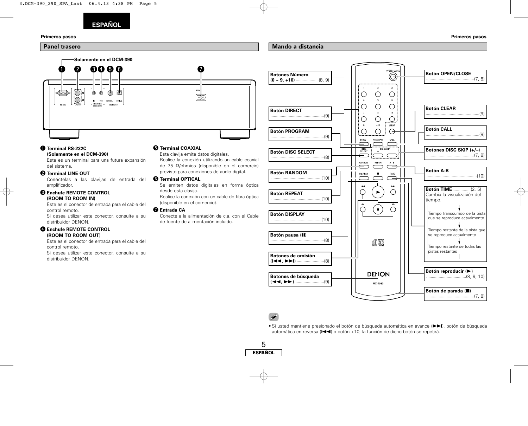![](_page_7_Picture_0.jpeg)

![](_page_7_Figure_3.jpeg)

#### **Mando a distancia**

![](_page_7_Figure_5.jpeg)

#### q **Terminal RS-232C (Solamente en el DCM-390)**

Este es un terminal para una futura expansión del sistema.

#### **@ Terminal LINE OUT**

Conéctelas a las clavijas de entrada del amplificador.

#### $\bullet$  **Enchufe REMOTE CONTROL (ROOM TO ROOM IN)**

Este es el conector de entrada para el cable del control remoto.

Si desea utilizar este conector, consulte a su distribuidor DENON.

#### **@ Enchufe REMOTE CONTROL (ROOM TO ROOM OUT)**

Este es el conector de entrada para el cable del control remoto. Si desea utilizar este conector, consulte a su

distribuidor DENON.

#### $\bullet$  **Terminal COAXIAL**

Esta clavija emite datos digitales. Realice la conexión utilizando un cable coaxial de 75 Ω/ohmios (disponible en el comercio) previsto para conexiones de audio digital.

#### **6** Terminal OPTICAL

Se emiten datos digitales en forma óptica desde esta clavija.

Realice la conexión con un cable de fibra óptica (disponible en el comercio).

#### *O* Entrada CA

Conecte a la alimentación de c.a. con el Cable de fuente de alimentación incluido.

![](_page_7_Figure_23.jpeg)

### Î

• Si usted mantiene presionado el botón de búsqueda automática en avance ( $\blacktriangleright\blacktriangleright$ I), botón de búsqueda automática en reversa ( $\blacktriangleleft$ ) o botón +10, la función de dicho botón se repetirá.

![](_page_7_Figure_26.jpeg)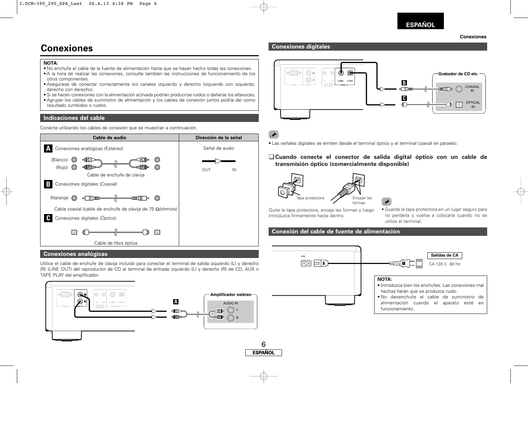#### **Conexiones**

## **Conexiones**

#### **NOTA:**

- No enchufe el cable de la fuente de alimentación hasta que se hayan hecho todas las conexiones.
- A la hora de realizar las conexiones, consulte también las instrucciones de funcionamiento de los otros componentes.
- Asegúrese de conectar correctamente los canales izquierdo y derecho (izquierdo con izquierdo, derecho con derecho).
- Si se hacen conexiones con la alimentación activada podrían producirse ruidos o dañarse los altavoces.
- Agrupar los cables de suministro de alimentación y los cables de conexión juntos podría dar como resultado zumbidos o ruidos.

#### **Indicaciones del cable**

Conecte utilizando los cables de conexión que se muestran a continuación.

![](_page_8_Figure_11.jpeg)

#### **Conexiones analógicas**

Utilice el cable de enchufe de clavija incluido para conectar el terminal de salida izquierdo (L) y derecho (R) (LINE OUT) del reproductor de CD al terminal de entrada izquierdo (L) y derecho (R) de CD, AUX o TAPE PLAY del amplificador.

![](_page_8_Figure_14.jpeg)

#### **Conexiones digitales**

![](_page_8_Figure_16.jpeg)

## $\overline{\mathscr{L}}$

![](_page_8_Picture_18.jpeg)

#### ¢**Cuando conecte el conector de salida digital óptico con un cable de transmisión óptico (comercialmente disponible)**

![](_page_8_Picture_20.jpeg)

![](_page_8_Picture_21.jpeg)

Quite la tapa protectora, encaje las formas y luego introduzca firmemente hasta dentro.

• Guarde la tapa protectora en un lugar seguro para no perderla y vuelva a colocarla cuando no se utilice el terminal.

### **Conexión del cable de fuente de alimentación**

![](_page_8_Figure_25.jpeg)

**ESPAÑOL** 6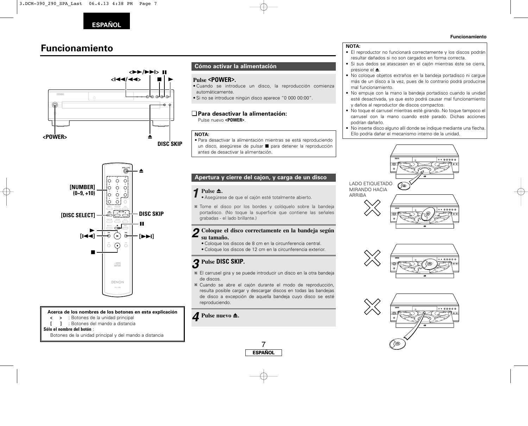## **Funcionamiento**

![](_page_9_Figure_2.jpeg)

### **Cómo activar la alimentación**

#### **Pulse <POWER>.**

- Cuando se introduce un disco, la reproducción comienza automáticamente.
- Si no se introduce ningún disco aparece "0 000 00:00".

#### ¢**Para desactivar la alimentación:** Pulse nuevo **<POWER>**.

#### **NOTA:**

• Para desactivar la alimentación mientras se está reproduciendo un disco, asegúrese de pulsar **D** para detener la reproducción antes de desactivar la alimentación.

### **Apertura y cierre del cajon, y carga de un disco**

#### Pulse  $\triangle$ .

- Asegúrese de que el cajón esté totalmente abierto. *1*
- Tome el disco por los bordes y colóquelo sobre la bandeja portadisco. (No toque la superficie que contiene las señales grabadas - el lado brillante.)

#### **Coloque el disco correctamente en la bandeja según su tamaño.** *2*

- Coloque los discos de 8 cm en la circunferencia central.
- Coloque los discos de 12 cm en la circunferencia exterior.

## **Pulse DISC SKIP.** *3*

- El carrusel gira y se puede introducir un disco en la otra bandeja de discos.
- Cuando se abre el cajón durante el modo de reproducción, resulta posible cargar y descargar discos en todas las bandejas de disco a excepción de aquella bandeja cuyo disco se esté reproduciendo.

7

**ESPAÑOL**

### $\triangle$  Pulse nuevo  $\triangle$ .

#### **NOTA:**

- El reproductor no funcionará correctamente y los discos podrán resultar dañados si no son cargados en forma correcta.
- Si sus dedos se atascasen en el cajón mientras éste se cierra,  $n$ resione el  $\triangle$
- No coloque objetos extraños en la bandeja portadisco ni cargue más de un disco a la vez, pues de lo contrario podrá producirse mal funcionamiento.
- No empuje con la mano la bandeja portadisco cuando la unidad esté desactivada, ya que esto podrá causar mal funcionamiento y daños al reproductor de discos compactos.
- No toque el carrusel mientras esté girando. No toque tampoco el carrusel con la mano cuando esté parado. Dichas acciones podrían dañarlo.
- No inserte disco alguno allí donde se indique mediante una flecha. Ello podría dañar el mecanismo interno de la unidad.

![](_page_9_Picture_28.jpeg)

![](_page_9_Picture_29.jpeg)

![](_page_9_Picture_30.jpeg)

#### ''C ≜  $\overline{\circ}$  $\circ$  $\circ$ **[NUMBER]** lio.  $\circ$ **(0~9, +10)**  $\circ$  $\overline{1}$  $\circ$  $\circ$  $\circ$   $\circ$  $\overline{\bigoplus_{i=1}^{m}{\bigoplus_{i=1}^{m}{\bigoplus_{i=1}^{m}{\bigoplus_{i=1}^{m}{\bigoplus_{i=1}^{m}{\bigoplus_{i=1}^{m}{\bigoplus_{i=1}^{m}{\bigoplus_{i=1}^{m}{\bigoplus_{i=1}^{m}{\bigoplus_{i=1}^{m}{\bigoplus_{i=1}^{m}{\bigoplus_{i=1}^{m}{\bigoplus_{i=1}^{m}{\bigoplus_{i=1}^{m}{\bigoplus_{i=1}^{m}{\bigoplus_{i=1}^{m}{\bigoplus_{i=1}^{m}{\bigoplus_{i=1}^{m}{\$ **DISC SKIP [DISC SELECT]** 11 - ات  $\blacktriangleright$ **[**8**]** (►  $\Theta$ **[**9**]**  $\bigcap$ Õ 2 disc DENON

#### **Acerca de los nombres de los botones en esta explicación**

- **<sup>&</sup>lt; <sup>&</sup>gt;** : Botones de la unidad principal
- **[ ]** : Botones del mando a distancia

#### **Sólo el nombre del botón** :

Botones de la unidad principal y del mando a distancia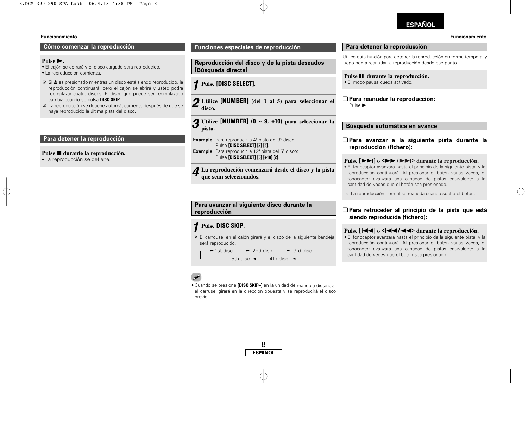### **ESPAÑOL**

#### **Cómo comenzar la reproducción**

### **Pulse**  $\blacktriangleright$ .

- El cajón se cerrará y el disco cargado será reproducido.
- La reproducción comienza.
- Si 5 es presionado mientras un disco está siendo reproducido, la reproducción continuará, pero el cajón se abrirá y usted podrá reemplazar cuatro discos. El disco que puede ser reemplazado cambia cuando se pulsa **DISC SKIP**.
- La reproducción se detiene automáticamente después de que se haya reproducido la última pista del disco.

#### **Para detener la reproducción**

#### Pulse **■** durante la reproducción.

• La reproducción se detiene.

#### **Funciones especiales de reproducción**

**Reproducción del disco y de la pista deseados [Búsqueda directa]**

## **Pulse [DISC SELECT].** *1*

**Utilice [NUMBER] (del 1 al 5) para seleccionar el** *2* **disco.**

**Utilice [NUMBER] (0 ~ 9, +10) para seleccionar la pista.** *3*

**Example:** Para reproducir la 4ª pista del 3º disco: Pulse **[DISC SELECT] [3] [4]**. **Example:** Para reproducir la 12<sup>ª</sup> pista del 5<sup>º</sup> disco: Pulse **[DISC SELECT] [5] [+10] [2]**.

**La reproducción comenzará desde el disco y la pista** *4* **que sean seleccionados.**

**Para avanzar al siguiente disco durante la reproducción**

## **Pulse DISC SKIP.** *1*

El carrousel en el cajón girará y el disco de la siguiente bandeja será reproducido.

1st disc —— ► 2nd disc —— ► 3rd disc  $\overline{\phantom{a}}$  5th disc  $\overline{\phantom{a}}$  4th disc  $\overline{\phantom{a}}$ 

• Cuando se presione **[DISC SKIP–]** en la unidad de mando a distancia, el carrusel girará en la dirección opuesta y se reproducirá el disco previo.

![](_page_10_Figure_24.jpeg)

#### **Para detener la reproducción**

Utilice esta función para detener la reproducción en forma temporal y luego podrá reanudar la reproducción desde ese punto.

**Pulse II** durante la reproducción. • El modo pausa queda activado.

¢**Para reanudar la reproducción:** Pulse  $\blacktriangleright$ .

#### **Búsqueda automática en avance**

¢**Para avanzar a la siguiente pista durante la reproducción (fichero):**

#### **Pulse**  $[\triangleright \triangleright]$  **o**  $\langle \triangleright \triangleright \rfloor$  $\langle \triangleright \triangleright \rfloor$  **durante la reproducción.**

• El fonocaptor avanzará hasta el principio de la siguiente pista, y la reproducción continuará. Al presionar el botón varias veces, el fonocaptor avanzará una cantidad de pistas equivalente a la cantidad de veces que el botón sea presionado.

La reproducción normal se reanuda cuando suelte el botón.

#### ¢**Para retroceder al principio de la pista que está siendo reproducida (fichero):**

#### **Pulse [**8**] <sup>o</sup> <sup>&</sup>lt;**8**/**6**<sup>&</sup>gt; durante la reproducción.**

• El fonocaptor avanzará hasta el principio de la siguiente pista, y la reproducción continuará. Al presionar el botón varias veces, el fonocaptor avanzará una cantidad de pistas equivalente a la cantidad de veces que el botón sea presionado.

![](_page_10_Picture_37.jpeg)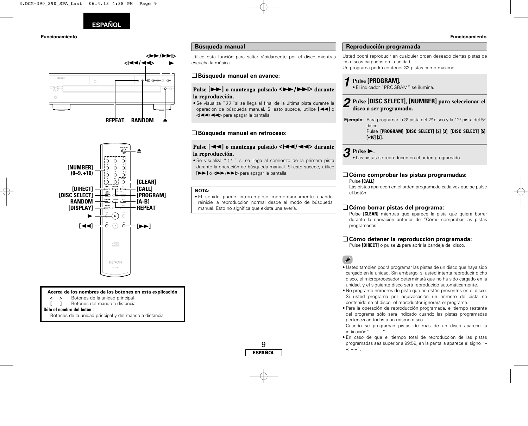![](_page_11_Picture_0.jpeg)

#### **Funcionamiento Funcionamiento**

![](_page_11_Figure_2.jpeg)

![](_page_11_Figure_3.jpeg)

**Acerca de los nombres de los botones en esta explicación**

- **<sup>&</sup>lt; <sup>&</sup>gt;** : Botones de la unidad principal
- **[ ]** : Botones del mando a distancia

#### **Sólo el nombre del botón** :

Botones de la unidad principal y del mando a distancia

#### **Búsqueda manual**

Utilice esta función para saltar rápidamente por el disco mientras escucha la música.

#### ¢**Búsqueda manual en avance:**

#### **Pulse**  $[\triangleright \triangleright]$  **<b>o** mantenga pulsado  $\langle \triangleright \triangleright \triangleright$   $\langle \triangleright \triangleright \triangleright \cdot \rangle$  durante **la reproducción.**

 $\bullet$  Se visualiza " J ] "si se llega al final de la última pista durante la operación de búsqueda manual. Si esto sucede, utilice **[**6**]** <sup>o</sup> **<sup>&</sup>lt;**8/6**<sup>&</sup>gt;** para apagar la pantalla.

#### ¢**Búsqueda manual en retroceso:**

#### **Pulse**  $\left[ \left( \left. \left( \left. \left( \mathbf{A} \right) \right) \right)$  **o** mantenga pulsado  $\left. \left( \left. \left( \left. \left( \mathbf{A} \right) \right) \right) \right| \right)$  durante **la reproducción.**

 $\bullet$  Se visualiza "  $\mathfrak{c} \mathfrak{c}$  " si se llega al comienzo de la primera pista durante la operación de búsqueda manual. Si esto sucede, utilice **[**7**]** <sup>o</sup>**<**7/9**>** para apagar la pantalla.

#### **NOTA:**

• El sonido puede interrumpirse momentáneamente cuando reinicie la reproducción normal desde el modo de búsqueda manual. Esto no significa que exista una avería.

9

**ESPAÑOL**

![](_page_11_Picture_19.jpeg)

Usted podrá reproducir en cualquier orden deseado ciertas pistas de los discos cargados en la unidad. Un programa podrá contener 32 pistas como máximo.

### **Pulse [PROGRAM].** *1* •

El indicador "PROGRAM" se ilumina.

#### **Pulse [DISC SELECT], [NUMBER] para seleccionar el** *2* **disco a ser programado.**

**Ejemplo:** Para programar la 3ª pista del 2º disco y la 12ª pista del 5º disco: Pulse **[PROGRAM] [DISC SELECT] [2] [3]**, **[DISC SELECT] [5] [+10] [2]**.

**Pulse** 1**.** *3* •

Las pistas se reproducen en el orden programado.

#### ¢**Cómo comprobar las pistas programadas:** Pulse **[CALL]**.

Las pistas aparecen en el orden programado cada vez que se pulse el botón.

#### ¢**Cómo borrar pistas del programa:**

Pulse **[CLEAR]** mientras que aparece la pista que quiera borrar durante la operación anterior de "Cómo comprobar las pistas programadas".

#### ¢**Cómo detener la reproducción programada:**

Pulse **[DIRECT]** o pulse ▲ para abrir la bandeja del disco.

- Usted también podrá programar las pistas de un disco que haya sido cargado en la unidad. Sin embargo, si usted intenta reproducir dicho disco, el microprocesador determinará que no ha sido cargado en la unidad, y el siguiente disco será reproducido automáticamente.
- No programe números de pista que no estén presentes en el disco. Si usted programa por equivocación un número de pista no contenido en el disco, el reproductor ignorará el programa.
- Para la operación de reproducción programada, el tiempo restante del programa sólo será indicado cuando las pistas programadas pertenezcan todas a un mismo disco.

Cuando se programan pistas de más de un disco aparece la indicación"– – – –".

• En caso de que el tiempo total de reproducción de las pistas programadas sea superior a 99:59, en la pantalla aparece el signo "–  $-$  – –  $-$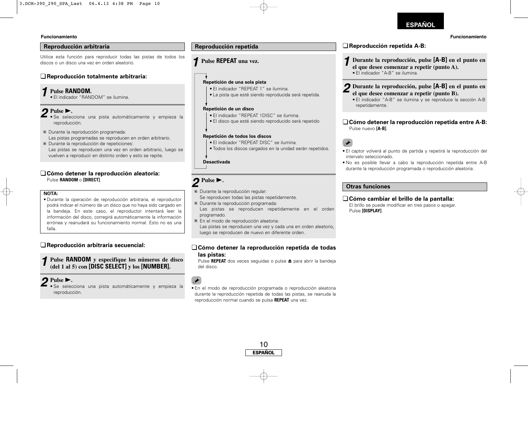#### **Reproducción arbitraria**

Utilice esta función para reproducir todas las pistas de todos los discos o un disco una vez en orden aleatorio.

#### ¢**Reproducción totalmente arbitraria:**

#### **Pulse RANDOM.** *1*

• El indicador "RANDOM" se ilumina.

#### Pulse  $\blacktriangleright$ . *2*

- Se selecciona una pista automáticamente y empieza la reproducción.
- Durante la reproducción programada: Las pistas programadas se reproducen en orden arbitrario.
- Durante la reproducción de repeticiones: Las pistas se reproducen una vez en orden arbitrario, luego se vuelven a reproducir en distinto orden y esto se repite.

#### ¢**Cómo detener la reproducción aleatoria:** Pulse **RANDOM** o **[DIRECT]**.

#### **NOTA:**

• Durante la operación de reproducción arbitraria, el reproductor podrá indicar el número de un disco que no haya sido cargado en la bandeja. En este caso, el reproductor intentará leer la información del disco, corregirá automáticamente la información errónea y reanudará su funcionamiento normal. Esto no es una falla.

### ¢**Reproducción arbitraria secuencial:**

**Pulse RANDOM y especifique los números de disco (del 1 al 5) con [DISC SELECT] <sup>y</sup>los [NUMBER].** *1*

#### $Pulse \triangleright$ . *2*

• Se selecciona una pista automáticamente y empieza la reproducción.

#### **Pulse REPEAT una vez.** *1*

### **One-track Repeat Repetición de una sola pista**

- El indicador "REPEAT 1" se ilumina.
- La pista que esté siendo reproducida será repetida.

#### **One-disc Repeat Repetición de un disco**

- El indicador "REPEAT 1DISC" se ilumina.
- El disco que esté siendo reproducido será repetido

#### **All-disc Repeat Repetición de todos los discos**

- El indicador "REPEAT DISC" se ilumina.
- Todos los discos cargados en la unidad serán repetidos.

#### Desactivada

## $2^{\text{Pulse}}$ .

 $\frac{1}{2}$ 

- Durante la reproducción regular:
- Se reproducen todas las pistas repetidamente.
- Durante la reproducción programada: Las pistas se reproducen repetidamente en el orden programado.
- En el modo de reproducción aleatoria: Las pistas se reproducen una vez y cada una en orden aleatorio, luego se reproducen de nuevo en diferente orden.

#### ¢**Cómo detener la reproducción repetida de todas las pistas:**

Pulse **REPEAT** dos veces seguidas o pulse ▲ para abrir la bandeja del disco.

• En el modo de reproducción programada o reproducción aleatoria durante la reproducción repetida de todas las pistas, se reanuda la reproducción normal cuando se pulsa **REPEAT** una vez.

![](_page_12_Figure_38.jpeg)

### **ESPAÑOL**

#### **Funcionamiento Funcionamiento**

### **Reproducción repetida ₹Reproducción repetida A-B:**

- **Durante la reproducción, pulse [A-B] en el punto en el que desee comenzar a repetir (punto A).** *1*
	- El indicador "A-B" se ilumina.

#### **Durante la reproducción, pulse [A-B] en el punto en el que desee comenzar a repetir (punto B).** *2*

• El indicador "A-B" se ilumina y se reproduce la sección A-B repetidamente.

#### ¢**Cómo detener la reproducción repetida entre A-B:** Pulse nuevo **[A-B]**.

### $\overline{\bullet}$

- El captor volverá al punto de partida y repetirá la reproducción del intervalo seleccionado.
- No es posible llevar a cabo la reproducción repetida entre A-B durante la reproducción programada o reproducción aleatoria.

#### **Otras funciones**

#### ¢**Cómo cambiar el brillo de la pantalla:**

El brillo se puede modificar en tres pasos o apagar. Pulse **[DISPLAY]**.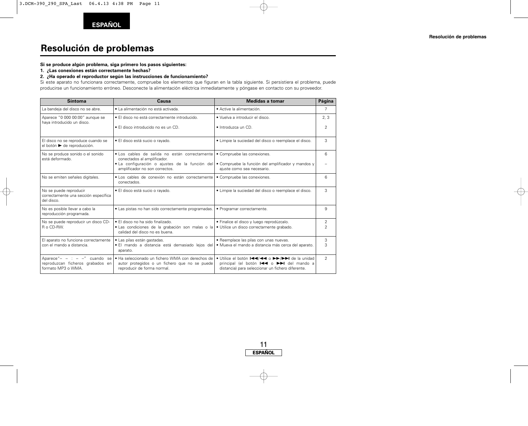## **Resolución de problemas**

#### **Si se produce algún problema, siga primero los pasos siguientes:**

**1. ¿Las conexiones están correctamente hechas?**

#### **2. ¿Ha operado el reproductor según las instrucciones de funcionamiento?**

Si este aparato no funcionara correctamente, compruebe los elementos que figuran en la tabla siguiente. Si persistiera el problema, puede producirse un funcionamiento erróneo. Desconecte la alimentación eléctrica inmediatamente y póngase en contacto con su proveedor.

| <b>Síntoma</b>                                                                         | Causa                                                                                                                            | <b>Medidas a tomar</b>                                                                                                                                                                                                                                                                                                                | Página                           |
|----------------------------------------------------------------------------------------|----------------------------------------------------------------------------------------------------------------------------------|---------------------------------------------------------------------------------------------------------------------------------------------------------------------------------------------------------------------------------------------------------------------------------------------------------------------------------------|----------------------------------|
| La bandeja del disco no se abre.                                                       | · La alimentación no está activada.                                                                                              | · Active la alimentación.                                                                                                                                                                                                                                                                                                             | 7                                |
| Aparece "0 000 00:00" aunque se<br>haya introducido un disco.                          | • El disco no está correctamente introducido.                                                                                    | · Vuelva a introducir el disco.                                                                                                                                                                                                                                                                                                       | 2, 3                             |
|                                                                                        | • El disco introducido no es un CD.                                                                                              | · Introduzca un CD.                                                                                                                                                                                                                                                                                                                   | $\overline{2}$                   |
| El disco no se reproduce cuando se<br>el botón ► de reproducción.                      | · El disco está sucio o rayado.                                                                                                  | · Limpie la suciedad del disco o reemplace el disco.                                                                                                                                                                                                                                                                                  | 3                                |
| No se produce sonido o el sonido<br>está deformado.                                    | · Los cables de salida no están correctamente<br>conectados al amplificador.                                                     | • Compruebe las conexiones.                                                                                                                                                                                                                                                                                                           | 6                                |
|                                                                                        | · La configuración o ajustes de la función del<br>amplificador no son correctos.                                                 | • Compruebe la función del amplificador y mandos y<br>ajuste como sea necesario.                                                                                                                                                                                                                                                      |                                  |
| No se emiten señales digitales.                                                        | · Los cables de conexión no están correctamente<br>conectados.                                                                   | · Compruebe las conexiones.                                                                                                                                                                                                                                                                                                           | 6                                |
| No se puede reproducir<br>correctamente una sección específica<br>del disco.           | · El disco está sucio o rayado.                                                                                                  | · Limpie la suciedad del disco o reemplace el disco.                                                                                                                                                                                                                                                                                  | 3                                |
| No es posible llevar a cabo la<br>reproducción programada.                             | • Las pistas no han sido correctamente programadas.                                                                              | • Programar correctamente.                                                                                                                                                                                                                                                                                                            | 9                                |
| No se puede reproducir un disco CD-<br>R o CD-RW.                                      | • El disco no ha sido finalizado.<br>· Las condiciones de la grabación son malas o la<br>calidad del disco no es buena.          | · Finalice el disco y luego reprodúzcalo.<br>· Utilice un disco correctamente grabado.                                                                                                                                                                                                                                                | $\overline{2}$<br>$\overline{2}$ |
| El aparato no funciona correctamente<br>con el mando a distancia.                      | · Las pilas están gastadas.<br>· El mando a distancia está demasiado lejos del<br>aparato.                                       | · Reemplace las pilas con unas nuevas.<br>· Mueva el mando a distancia más cerca del aparato.                                                                                                                                                                                                                                         | 3<br>3                           |
| Aparece"- - : - -" cuando se<br>reproduzcan ficheros grabados en<br>formato MP3 o WMA. | • Ha seleccionado un fichero WMA con derechos de<br>autor protegidos o un fichero que no se puede<br>reproducir de forma normal. | • Utilice el botón $\blacktriangleleft \blacktriangleleft \blacktriangleleft$ o $\blacktriangleright \blacktriangleright \blacktriangleright \blacktriangleright \blacktriangleleft$ de la unidad<br>principal (el botón $\blacktriangleright$ $\blacktriangleright$ del mando a<br>distancia) para seleccionar un fichero diferente. | $\overline{2}$                   |

![](_page_13_Figure_8.jpeg)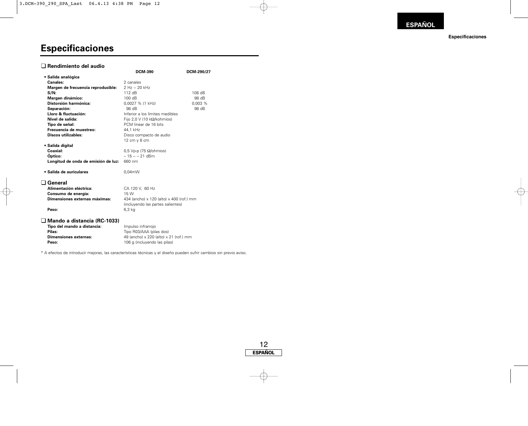#### **Especificaciones**

## **Especificaciones**

### ¢ **Rendimiento del audio**

|                                     | <b>DCM-390</b>                           | DCM-290/27 |
|-------------------------------------|------------------------------------------|------------|
| • Salida analógica                  |                                          |            |
| Canales:                            | 2 canales                                |            |
| Margen de frecuencia reproducible:  | $2 Hz \sim 20 kHz$                       |            |
| $S/N$ :                             | 112 dB                                   | 108 dB     |
| Margen dinámico:                    | 100 dB                                   | 98 dB      |
| Distorsión harmónica:               | 0,0027 % (1 kHz)                         | 0,003%     |
| Separación:                         | 98 dB                                    | 98 dB      |
| Lloro & fluctuación:                | Inferior a los límites medibles          |            |
| Nivel de salida:                    | Fijo 2,0 V (10 $k\Omega/k$ ohmios)       |            |
| Tipo de señal:                      | PCM linear de 16 bits                    |            |
| Frecuencia de muestreo:             | 44,1 kHz                                 |            |
| <b>Discos utilizables:</b>          | Disco compacto de audio                  |            |
|                                     | 12 cm y 8 cm                             |            |
| • Salida digital                    |                                          |            |
| Coaxial:                            | 0.5 Vp-p (75 $\Omega$ /ohmios)           |            |
| <b>Optico:</b>                      | $-15 \approx -21$ dBm                    |            |
| Longitud de onda de emisión de luz: | 660 nm                                   |            |
| · Salida de auriculares             | $0.04$ m $W$                             |            |
| General                             |                                          |            |
| Alimentación eléctrica:             | CA 120 V, 60 Hz                          |            |
| Consumo de energía:                 | 15 W                                     |            |
| Dimensiones externas máximas:       | 434 (ancho) x 120 (alto) x 400 (rof.) mm |            |
|                                     | (incluyendo las partes salientes)        |            |
| Peso:                               | $6.3$ kg                                 |            |
|                                     |                                          |            |
| ∟l Mando a distancia (RC-1033)      |                                          |            |
| Tipo del mando a distancia:         | Impulso infrarrojo                       |            |
| Pilas:                              | Tipo R03/AAA (pilas dos)                 |            |
| <b>Dimensiones externas:</b>        | 49 (ancho) x 220 (alto) x 21 (rof.) mm   |            |
| Peso:                               | 106 g (incluyendo las pilas)             |            |

\* A efectos de introducir mejoras, las características técnicas y el diseño pueden sufrir cambios sin previo aviso.

![](_page_14_Figure_6.jpeg)